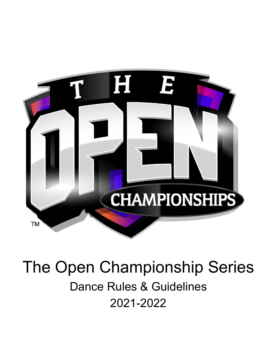

# The Open Championship Series Dance Rules & Guidelines 2021-2022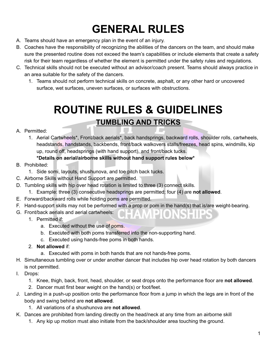## **GENERAL RULES**

- A. Teams should have an emergency plan in the event of an injury.
- B. Coaches have the responsibility of recognizing the abilities of the dancers on the team, and should make sure the presented routine does not exceed the team's capabilities or include elements that create a safety risk for their team regardless of whether the element is permitted under the safety rules and regulations.
- C. Technical skills should not be executed without an advisor/coach present. Teams should always practice in an area suitable for the safety of the dancers.
	- 1. Teams should not perform technical skills on concrete, asphalt, or any other hard or uncovered surface, wet surfaces, uneven surfaces, or surfaces with obstructions.

## **ROUTINE RULES & GUIDELINES**

## **TUMBLING AND TRICKS**

#### A. Permitted:

- 1. Aerial Cartwheels\*, Front/back aerials\*, back handsprings, backward rolls, shoulder rolls, cartwheels, headstands, handstands, backbends, front/back walkovers stalls/freezes, head spins, windmills, kip up, round off, headsprings (with hand support), and front/back tucks.
	- **\*Details on aerial/airborne skills without hand support rules below\***
- B. Prohibited:
	- 1. Side somi, layouts, shushunova, and toe pitch back tucks.
- C. Airborne Skills without Hand Support are permitted.
- D. Tumbling skills with hip over head rotation is limited to three (3) connect skills.
	- 1. Example: three (3) consecutive headsprings are permitted; four (4) are **not allowed**.
- E. Forward/backward rolls while holding poms are permitted.
- F. Hand-support skills may not be performed with a prop or pom in the hand(s) that is/are weight-bearing.

**HAMPIONSHIPS** 

- G. Front/back aerials and aerial cartwheels:
	- 1. Permitted if:
		- a. Executed without the use of poms.
		- b. Executed with both poms transferred into the non-supporting hand.
		- c. Executed using hands-free poms in both hands.
	- 2. **Not allowed** if:
		- a. Executed with poms in both hands that are not hands-free poms.
- H. Simultaneous tumbling over or under another dancer that includes hip over head rotation by both dancers is not permitted.
- I. Drops:
	- 1. Knee, thigh, back, front, head, shoulder, or seat drops onto the performance floor are **not allowed**.
	- 2. Dancer must first bear weight on the hand(s) or foot/feet.
- J. Landing in a push-up position onto the performance floor from a jump in which the legs are in front of the body and swing behind are **not allowed**.
	- 1. All variations of a shushunova are **not allowed**.
- K. Dances are prohibited from landing directly on the head/neck at any time from an airborne skill
	- 1. Any kip up motion must also initiate from the back/shoulder area touching the ground.